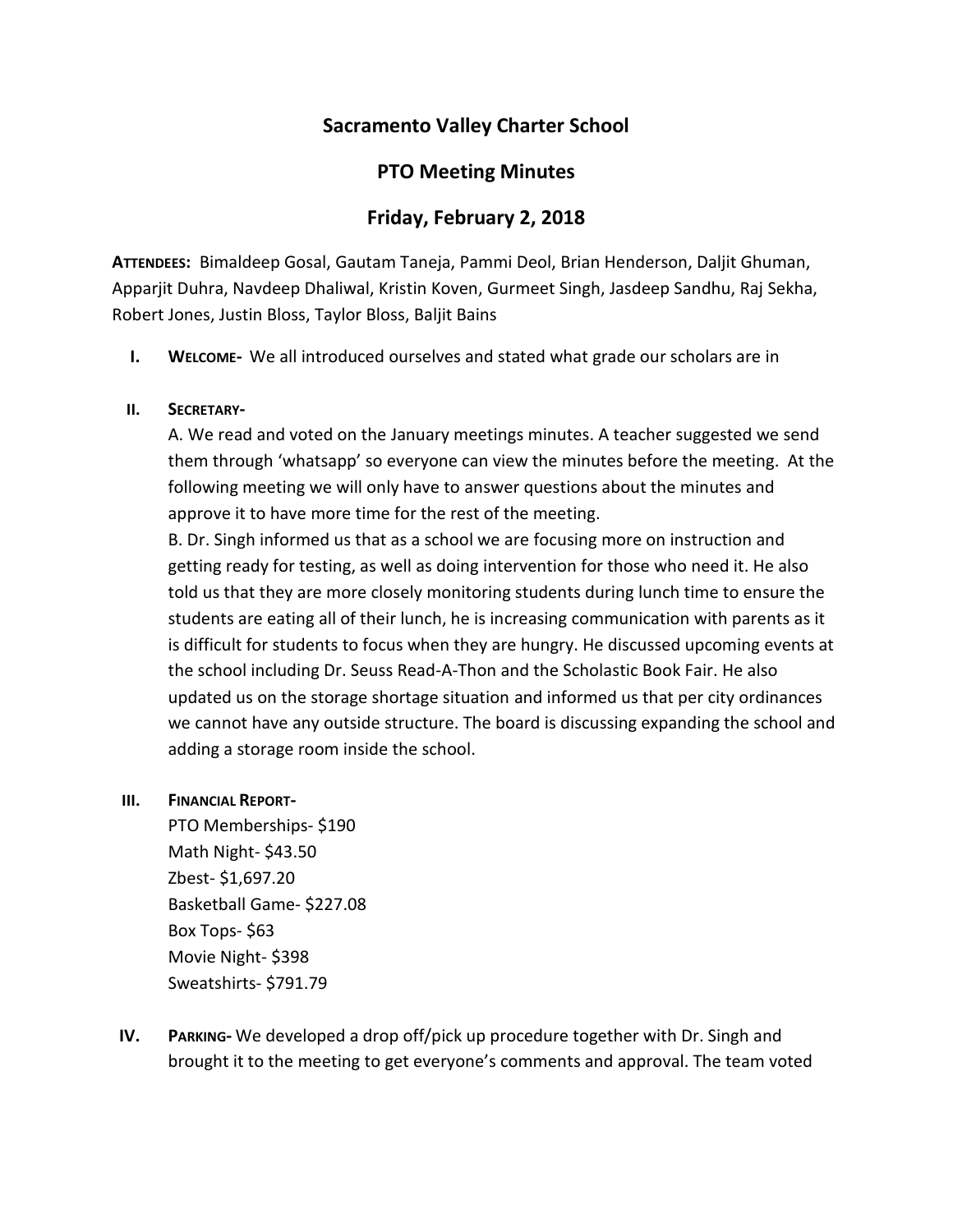# **Sacramento Valley Charter School**

## **PTO Meeting Minutes**

## **Friday, February 2, 2018**

**ATTENDEES:** Bimaldeep Gosal, Gautam Taneja, Pammi Deol, Brian Henderson, Daljit Ghuman, Apparjit Duhra, Navdeep Dhaliwal, Kristin Koven, Gurmeet Singh, Jasdeep Sandhu, Raj Sekha, Robert Jones, Justin Bloss, Taylor Bloss, Baljit Bains

**I. WELCOME-** We all introduced ourselves and stated what grade our scholars are in

#### **II. SECRETARY-**

A. We read and voted on the January meetings minutes. A teacher suggested we send them through 'whatsapp' so everyone can view the minutes before the meeting. At the following meeting we will only have to answer questions about the minutes and approve it to have more time for the rest of the meeting.

B. Dr. Singh informed us that as a school we are focusing more on instruction and getting ready for testing, as well as doing intervention for those who need it. He also told us that they are more closely monitoring students during lunch time to ensure the students are eating all of their lunch, he is increasing communication with parents as it is difficult for students to focus when they are hungry. He discussed upcoming events at the school including Dr. Seuss Read-A-Thon and the Scholastic Book Fair. He also updated us on the storage shortage situation and informed us that per city ordinances we cannot have any outside structure. The board is discussing expanding the school and adding a storage room inside the school.

#### **III. FINANCIAL REPORT-**

PTO Memberships- \$190 Math Night- \$43.50 Zbest- \$1,697.20 Basketball Game- \$227.08 Box Tops- \$63 Movie Night- \$398 Sweatshirts- \$791.79

**IV. PARKING-** We developed a drop off/pick up procedure together with Dr. Singh and brought it to the meeting to get everyone's comments and approval. The team voted